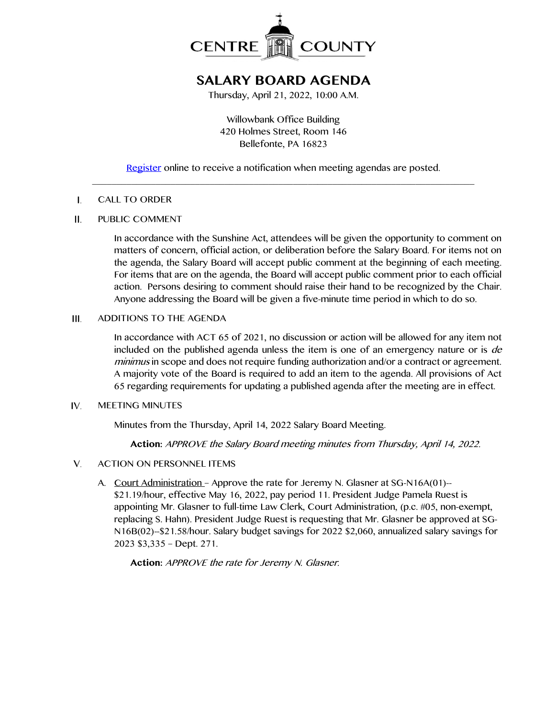

# **SALARY BOARD AGENDA**

Thursday, April 21, 2022, 10:00 A.M.

Willowbank Office Building 420 Holmes Street, Room 146 Bellefonte, PA 16823

[Register](http://www.centrecountypa.gov/AgendaCenter) online to receive a notification when meeting agendas are posted. \_\_\_\_\_\_\_\_\_\_\_\_\_\_\_\_\_\_\_\_\_\_\_\_\_\_\_\_\_\_\_\_\_\_\_\_\_\_\_\_\_\_\_\_\_\_\_\_\_\_\_\_\_\_\_\_\_\_\_\_\_\_\_\_\_\_\_\_\_\_\_\_\_\_\_\_\_\_

#### $\mathbf{I}$ . CALL TO ORDER

#### $II.$ PUBLIC COMMENT

In accordance with the Sunshine Act, attendees will be given the opportunity to comment on matters of concern, official action, or deliberation before the Salary Board. For items not on the agenda, the Salary Board will accept public comment at the beginning of each meeting. For items that are on the agenda, the Board will accept public comment prior to each official action. Persons desiring to comment should raise their hand to be recognized by the Chair. Anyone addressing the Board will be given a five-minute time period in which to do so.

#### ADDITIONS TO THE AGENDA  $III.$

In accordance with ACT 65 of 2021, no discussion or action will be allowed for any item not included on the published agenda unless the item is one of an emergency nature or is *de* minimus in scope and does not require funding authorization and/or a contract or agreement. A majority vote of the Board is required to add an item to the agenda. All provisions of Act 65 regarding requirements for updating a published agenda after the meeting are in effect.

#### IV. MEETING MINUTES

Minutes from the Thursday, April 14, 2022 Salary Board Meeting.

**Action:** APPROVE the Salary Board meeting minutes from Thursday, April 14, 2022.

#### V. ACTION ON PERSONNEL ITEMS

A. Court Administration – Approve the rate for Jeremy N. Glasner at SG-N16A(01)--\$21.19/hour, effective May 16, 2022, pay period 11. President Judge Pamela Ruest is appointing Mr. Glasner to full-time Law Clerk, Court Administration, (p.c. #05, non-exempt, replacing S. Hahn). President Judge Ruest is requesting that Mr. Glasner be approved at SG-N16B(02)--\$21.58/hour. Salary budget savings for 2022 \$2,060, annualized salary savings for 2023 \$3,335 – Dept. 271.

**Action:** APPROVE the rate for Jeremy N. Glasner.